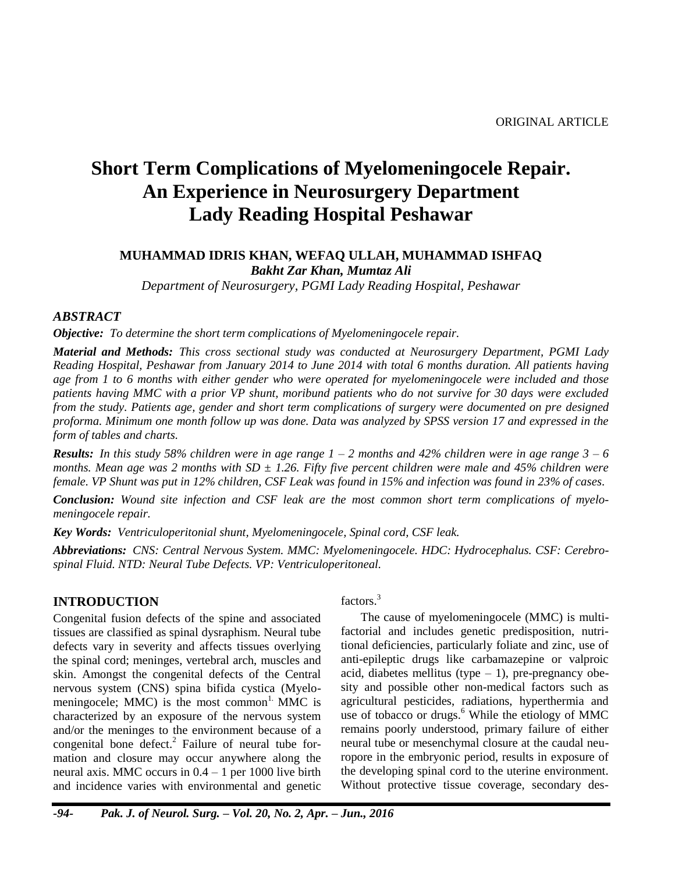# **Short Term Complications of Myelomeningocele Repair. An Experience in Neurosurgery Department Lady Reading Hospital Peshawar**

### **MUHAMMAD IDRIS KHAN, WEFAQ ULLAH, MUHAMMAD ISHFAQ** *Bakht Zar Khan, Mumtaz Ali*

*Department of Neurosurgery, PGMI Lady Reading Hospital, Peshawar*

## *ABSTRACT*

*Objective: To determine the short term complications of Myelomeningocele repair.*

*Material and Methods: This cross sectional study was conducted at Neurosurgery Department, PGMI Lady Reading Hospital, Peshawar from January 2014 to June 2014 with total 6 months duration. All patients having age from 1 to 6 months with either gender who were operated for myelomeningocele were included and those patients having MMC with a prior VP shunt, moribund patients who do not survive for 30 days were excluded from the study. Patients age, gender and short term complications of surgery were documented on pre designed proforma. Minimum one month follow up was done. Data was analyzed by SPSS version 17 and expressed in the form of tables and charts.*

*Results: In this study 58% children were in age range 1 – 2 months and 42% children were in age range 3 – 6 months. Mean age was 2 months with SD ± 1.26. Fifty five percent children were male and 45% children were female. VP Shunt was put in 12% children, CSF Leak was found in 15% and infection was found in 23% of cases.*

*Conclusion: Wound site infection and CSF leak are the most common short term complications of myelomeningocele repair.*

*Key Words: Ventriculoperitonial shunt, Myelomeningocele, Spinal cord, CSF leak.*

*Abbreviations: CNS: Central Nervous System. MMC: Myelomeningocele. HDC: Hydrocephalus. CSF: Cerebrospinal Fluid. NTD: Neural Tube Defects. VP: Ventriculoperitoneal.*

## **INTRODUCTION**

Congenital fusion defects of the spine and associated tissues are classified as spinal dysraphism. Neural tube defects vary in severity and affects tissues overlying the spinal cord; meninges, vertebral arch, muscles and skin. Amongst the congenital defects of the Central nervous system (CNS) spina bifida cystica (Myelomeningocele; MMC) is the most common<sup>1.</sup> MMC is characterized by an exposure of the nervous system and/or the meninges to the environment because of a congenital bone defect. $2$  Failure of neural tube formation and closure may occur anywhere along the neural axis. MMC occurs in  $0.4 - 1$  per 1000 live birth and incidence varies with environmental and genetic factors.<sup>3</sup>

The cause of myelomeningocele (MMC) is multifactorial and includes genetic predisposition, nutritional deficiencies, particularly foliate and zinc, use of anti-epileptic drugs like carbamazepine or valproic acid, diabetes mellitus (type  $-1$ ), pre-pregnancy obesity and possible other non-medical factors such as agricultural pesticides, radiations, hyperthermia and use of tobacco or drugs.<sup>6</sup> While the etiology of MMC remains poorly understood, primary failure of either neural tube or mesenchymal closure at the caudal neuropore in the embryonic period, results in exposure of the developing spinal cord to the uterine environment. Without protective tissue coverage, secondary des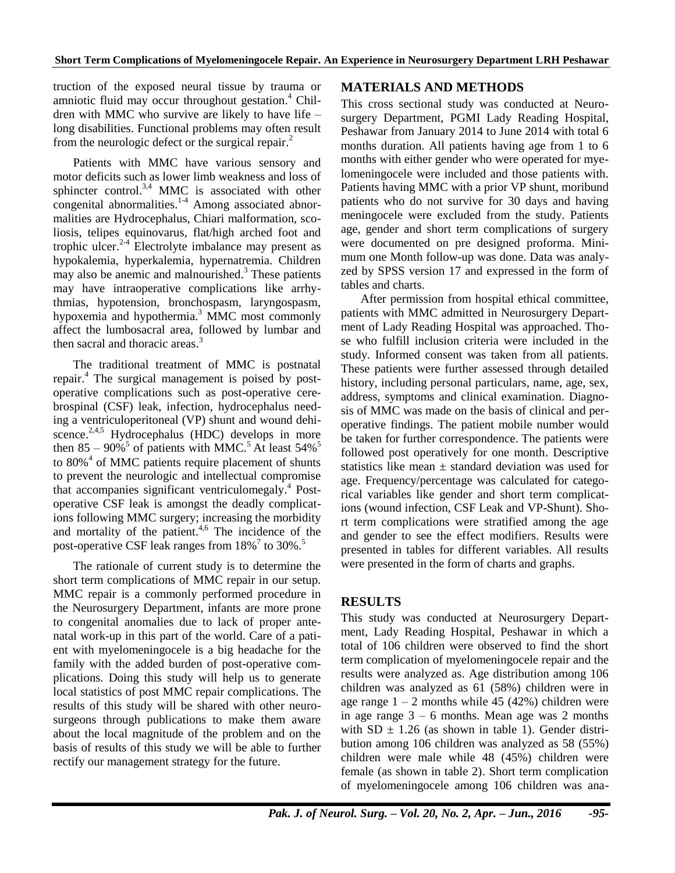truction of the exposed neural tissue by trauma or amniotic fluid may occur throughout gestation. <sup>4</sup> Children with MMC who survive are likely to have life – long disabilities. Functional problems may often result from the neurologic defect or the surgical repair.<sup>2</sup>

Patients with MMC have various sensory and motor deficits such as lower limb weakness and loss of sphincter control.<sup>3,4</sup> MMC is associated with other congenital abnormalities. 1-4 Among associated abnormalities are Hydrocephalus, Chiari malformation, scoliosis, telipes equinovarus, flat/high arched foot and trophic ulcer. 2-4 Electrolyte imbalance may present as hypokalemia, hyperkalemia, hypernatremia. Children may also be anemic and malnourished.<sup>3</sup> These patients may have intraoperative complications like arrhythmias, hypotension, bronchospasm, laryngospasm, hypoxemia and hypothermia. <sup>3</sup> MMC most commonly affect the lumbosacral area, followed by lumbar and then sacral and thoracic areas.<sup>3</sup>

The traditional treatment of MMC is postnatal repair. <sup>4</sup> The surgical management is poised by postoperative complications such as post-operative cerebrospinal (CSF) leak, infection, hydrocephalus needing a ventriculoperitoneal (VP) shunt and wound dehiscence.<sup>2,4,5</sup> Hydrocephalus (HDC) develops in more then  $85 - 90\%$ <sup>5</sup> of patients with MMC.<sup>5</sup> At least  $54\%$ <sup>5</sup> to 80%<sup>4</sup> of MMC patients require placement of shunts to prevent the neurologic and intellectual compromise that accompanies significant ventriculomegaly.<sup>4</sup> Postoperative CSF leak is amongst the deadly complications following MMC surgery; increasing the morbidity and mortality of the patient.<sup>4,6</sup> The incidence of the post-operative CSF leak ranges from 18%<sup>7</sup> to 30%.<sup>5</sup>

The rationale of current study is to determine the short term complications of MMC repair in our setup. MMC repair is a commonly performed procedure in the Neurosurgery Department, infants are more prone to congenital anomalies due to lack of proper antenatal work-up in this part of the world. Care of a patient with myelomeningocele is a big headache for the family with the added burden of post-operative complications. Doing this study will help us to generate local statistics of post MMC repair complications. The results of this study will be shared with other neurosurgeons through publications to make them aware about the local magnitude of the problem and on the basis of results of this study we will be able to further rectify our management strategy for the future.

## **MATERIALS AND METHODS**

This cross sectional study was conducted at Neurosurgery Department, PGMI Lady Reading Hospital, Peshawar from January 2014 to June 2014 with total 6 months duration. All patients having age from 1 to 6 months with either gender who were operated for myelomeningocele were included and those patients with. Patients having MMC with a prior VP shunt, moribund patients who do not survive for 30 days and having meningocele were excluded from the study. Patients age, gender and short term complications of surgery were documented on pre designed proforma. Minimum one Month follow-up was done. Data was analyzed by SPSS version 17 and expressed in the form of tables and charts.

After permission from hospital ethical committee, patients with MMC admitted in Neurosurgery Department of Lady Reading Hospital was approached. Those who fulfill inclusion criteria were included in the study. Informed consent was taken from all patients. These patients were further assessed through detailed history, including personal particulars, name, age, sex, address, symptoms and clinical examination. Diagnosis of MMC was made on the basis of clinical and peroperative findings. The patient mobile number would be taken for further correspondence. The patients were followed post operatively for one month. Descriptive statistics like mean  $\pm$  standard deviation was used for age. Frequency/percentage was calculated for categorical variables like gender and short term complications (wound infection, CSF Leak and VP-Shunt). Short term complications were stratified among the age and gender to see the effect modifiers. Results were presented in tables for different variables. All results were presented in the form of charts and graphs.

## **RESULTS**

This study was conducted at Neurosurgery Department, Lady Reading Hospital, Peshawar in which a total of 106 children were observed to find the short term complication of myelomeningocele repair and the results were analyzed as. Age distribution among 106 children was analyzed as 61 (58%) children were in age range  $1 - 2$  months while 45 (42%) children were in age range  $3 - 6$  months. Mean age was 2 months with  $SD \pm 1.26$  (as shown in table 1). Gender distribution among 106 children was analyzed as 58 (55%) children were male while 48 (45%) children were female (as shown in table 2). Short term complication of myelomeningocele among 106 children was ana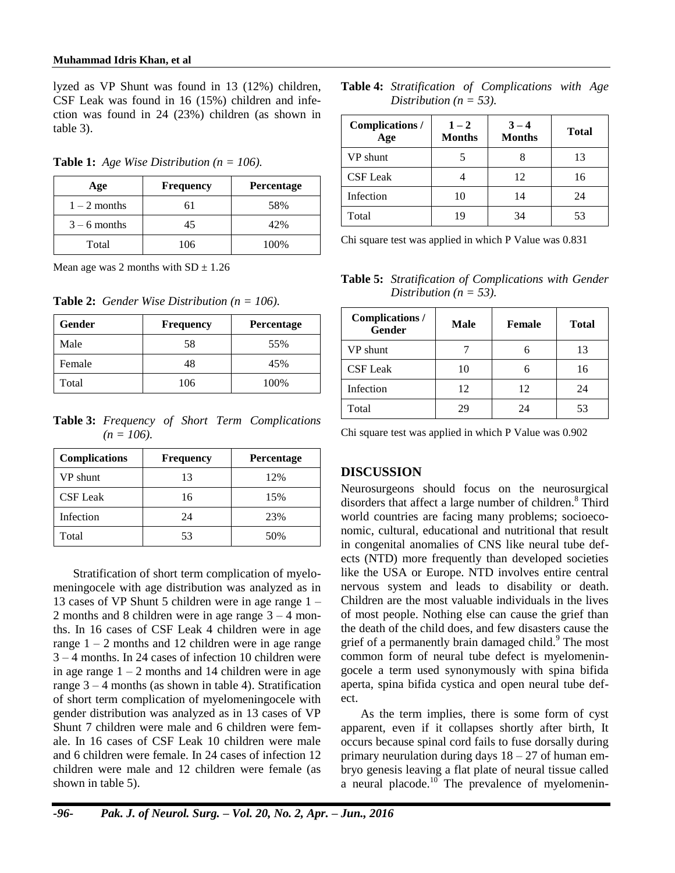lyzed as VP Shunt was found in 13 (12%) children, CSF Leak was found in 16 (15%) children and infection was found in 24 (23%) children (as shown in table 3).

**Table 1:** *Age Wise Distribution (n = 106).*

| Age            | <b>Frequency</b> | <b>Percentage</b> |
|----------------|------------------|-------------------|
| $1 - 2$ months | 61               | 58%               |
| $3 - 6$ months | 45               | 42%               |
| Total          | 106              | 100%              |

Mean age was 2 months with  $SD \pm 1.26$ 

**Table 2:** *Gender Wise Distribution* ( $n = 106$ ).

| Gender | <b>Frequency</b> | Percentage |
|--------|------------------|------------|
| Male   | 58               | 55%        |
| Female | 48               | 45%        |
| Total  | 106              | 100%       |

**Table 3:** *Frequency of Short Term Complications*  $(n = 106)$ .

| <b>Complications</b> | <b>Frequency</b> | <b>Percentage</b> |
|----------------------|------------------|-------------------|
| VP shunt             | 13               | 12%               |
| <b>CSF Leak</b>      | 16               | 15%               |
| Infection            | 24               | 23%               |
| Total                | 53               | 50%               |

Stratification of short term complication of myelomeningocele with age distribution was analyzed as in 13 cases of VP Shunt 5 children were in age range 1 – 2 months and 8 children were in age range  $3 - 4$  months. In 16 cases of CSF Leak 4 children were in age range  $1 - 2$  months and 12 children were in age range 3 – 4 months. In 24 cases of infection 10 children were in age range  $1 - 2$  months and 14 children were in age range  $3 - 4$  months (as shown in table 4). Stratification of short term complication of myelomeningocele with gender distribution was analyzed as in 13 cases of VP Shunt 7 children were male and 6 children were female. In 16 cases of CSF Leak 10 children were male and 6 children were female. In 24 cases of infection 12 children were male and 12 children were female (as shown in table 5).

|                            | <b>Table 4:</b> Stratification of Complications with Age |  |
|----------------------------|----------------------------------------------------------|--|
| Distribution ( $n = 53$ ). |                                                          |  |

| Complications /<br>Age | $1 - 2$<br><b>Months</b> | $3 - 4$<br><b>Months</b> | <b>Total</b> |
|------------------------|--------------------------|--------------------------|--------------|
| VP shunt               |                          |                          | 13           |
| <b>CSF</b> Leak        |                          | 12                       | 16           |
| Infection              | 10                       | 14                       | 24           |
| Total                  | 19                       | 34                       | 53           |

Chi square test was applied in which P Value was 0.831

**Table 5:** *Stratification of Complications with Gender Distribution* ( $n = 53$ ).

| Complications /<br>Gender | <b>Male</b> | <b>Female</b> | <b>Total</b> |
|---------------------------|-------------|---------------|--------------|
| VP shunt                  |             |               | 13           |
| <b>CSF</b> Leak           | 10          |               | 16           |
| Infection                 | 12          | 12            | 24           |
| Total                     | 2Ç          | 24            | 53           |

Chi square test was applied in which P Value was 0.902

## **DISCUSSION**

Neurosurgeons should focus on the neurosurgical disorders that affect a large number of children.<sup>8</sup> Third world countries are facing many problems; socioeconomic, cultural, educational and nutritional that result in congenital anomalies of CNS like neural tube defects (NTD) more frequently than developed societies like the USA or Europe. NTD involves entire central nervous system and leads to disability or death. Children are the most valuable individuals in the lives of most people. Nothing else can cause the grief than the death of the child does, and few disasters cause the grief of a permanently brain damaged child. $9$  The most common form of neural tube defect is myelomeningocele a term used synonymously with spina bifida aperta, spina bifida cystica and open neural tube defect.

As the term implies, there is some form of cyst apparent, even if it collapses shortly after birth, It occurs because spinal cord fails to fuse dorsally during primary neurulation during days  $18 - 27$  of human embryo genesis leaving a flat plate of neural tissue called a neural placode. $\frac{10}{10}$  The prevalence of myelomenin-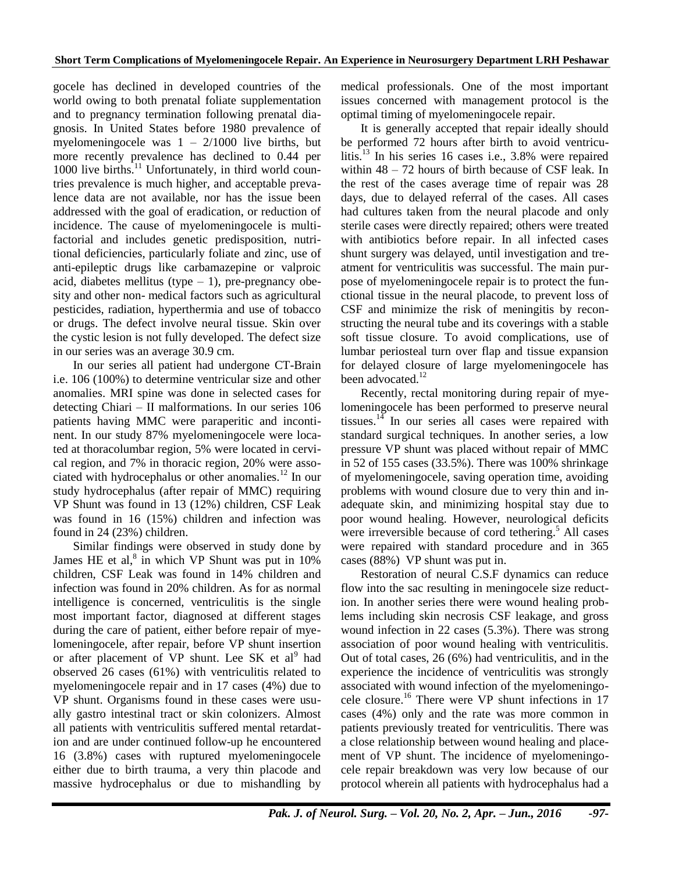gocele has declined in developed countries of the world owing to both prenatal foliate supplementation and to pregnancy termination following prenatal diagnosis. In United States before 1980 prevalence of myelomeningocele was  $1 - 2/1000$  live births, but more recently prevalence has declined to 0.44 per 1000 live births. $11$  Unfortunately, in third world countries prevalence is much higher, and acceptable prevalence data are not available, nor has the issue been addressed with the goal of eradication, or reduction of incidence. The cause of myelomeningocele is multifactorial and includes genetic predisposition, nutritional deficiencies, particularly foliate and zinc, use of anti-epileptic drugs like carbamazepine or valproic acid, diabetes mellitus (type  $-1$ ), pre-pregnancy obesity and other non- medical factors such as agricultural pesticides, radiation, hyperthermia and use of tobacco or drugs. The defect involve neural tissue. Skin over the cystic lesion is not fully developed. The defect size in our series was an average 30.9 cm.

In our series all patient had undergone CT-Brain i.e. 106 (100%) to determine ventricular size and other anomalies. MRI spine was done in selected cases for detecting Chiari – II malformations. In our series 106 patients having MMC were paraperitic and incontinent. In our study 87% myelomeningocele were located at thoracolumbar region, 5% were located in cervical region, and 7% in thoracic region, 20% were associated with hydrocephalus or other anomalies.<sup>12</sup> In our study hydrocephalus (after repair of MMC) requiring VP Shunt was found in 13 (12%) children, CSF Leak was found in 16 (15%) children and infection was found in 24 (23%) children.

Similar findings were observed in study done by James HE et al, $^8$  in which VP Shunt was put in 10% children, CSF Leak was found in 14% children and infection was found in 20% children. As for as normal intelligence is concerned, ventriculitis is the single most important factor, diagnosed at different stages during the care of patient, either before repair of myelomeningocele, after repair, before VP shunt insertion or after placement of VP shunt. Lee SK et al<sup>9</sup> had observed 26 cases (61%) with ventriculitis related to myelomeningocele repair and in 17 cases (4%) due to VP shunt. Organisms found in these cases were usually gastro intestinal tract or skin colonizers. Almost all patients with ventriculitis suffered mental retardation and are under continued follow-up he encountered 16 (3.8%) cases with ruptured myelomeningocele either due to birth trauma, a very thin placode and massive hydrocephalus or due to mishandling by

medical professionals. One of the most important issues concerned with management protocol is the optimal timing of myelomeningocele repair.

It is generally accepted that repair ideally should be performed 72 hours after birth to avoid ventriculitis.<sup>13</sup> In his series 16 cases i.e., 3.8% were repaired within 48 – 72 hours of birth because of CSF leak. In the rest of the cases average time of repair was 28 days, due to delayed referral of the cases. All cases had cultures taken from the neural placode and only sterile cases were directly repaired; others were treated with antibiotics before repair. In all infected cases shunt surgery was delayed, until investigation and treatment for ventriculitis was successful. The main purpose of myelomeningocele repair is to protect the functional tissue in the neural placode, to prevent loss of CSF and minimize the risk of meningitis by reconstructing the neural tube and its coverings with a stable soft tissue closure. To avoid complications, use of lumbar periosteal turn over flap and tissue expansion for delayed closure of large myelomeningocele has been advocated.<sup>12</sup>

Recently, rectal monitoring during repair of myelomeningocele has been performed to preserve neural tissues. $14$  In our series all cases were repaired with standard surgical techniques. In another series, a low pressure VP shunt was placed without repair of MMC in 52 of 155 cases (33.5%). There was 100% shrinkage of myelomeningocele, saving operation time, avoiding problems with wound closure due to very thin and inadequate skin, and minimizing hospital stay due to poor wound healing. However, neurological deficits were irreversible because of cord tethering.<sup>5</sup> All cases were repaired with standard procedure and in 365 cases (88%) VP shunt was put in.

Restoration of neural C.S.F dynamics can reduce flow into the sac resulting in meningocele size reduction. In another series there were wound healing problems including skin necrosis CSF leakage, and gross wound infection in 22 cases (5.3%). There was strong association of poor wound healing with ventriculitis. Out of total cases, 26 (6%) had ventriculitis, and in the experience the incidence of ventriculitis was strongly associated with wound infection of the myelomeningocele closure.<sup>16</sup> There were VP shunt infections in 17 cases (4%) only and the rate was more common in patients previously treated for ventriculitis. There was a close relationship between wound healing and placement of VP shunt. The incidence of myelomeningocele repair breakdown was very low because of our protocol wherein all patients with hydrocephalus had a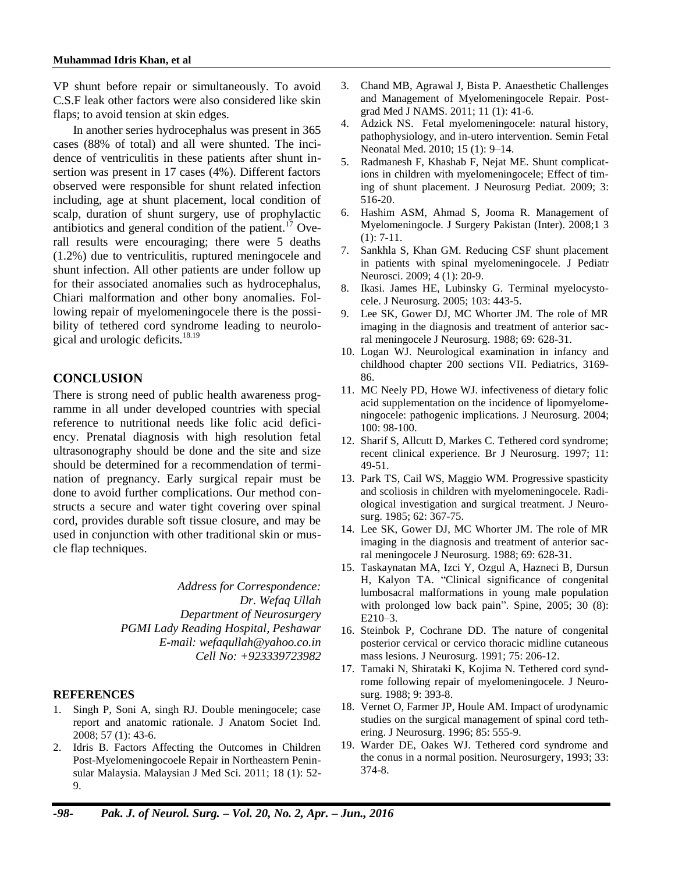VP shunt before repair or simultaneously. To avoid C.S.F leak other factors were also considered like skin flaps; to avoid tension at skin edges.

In another series hydrocephalus was present in 365 cases (88% of total) and all were shunted. The incidence of ventriculitis in these patients after shunt insertion was present in 17 cases (4%). Different factors observed were responsible for shunt related infection including, age at shunt placement, local condition of scalp, duration of shunt surgery, use of prophylactic antibiotics and general condition of the patient. $17$  Overall results were encouraging; there were 5 deaths (1.2%) due to ventriculitis, ruptured meningocele and shunt infection. All other patients are under follow up for their associated anomalies such as hydrocephalus, Chiari malformation and other bony anomalies. Following repair of myelomeningocele there is the possibility of tethered cord syndrome leading to neurological and urologic deficits.<sup>18.19</sup>

### **CONCLUSION**

There is strong need of public health awareness programme in all under developed countries with special reference to nutritional needs like folic acid deficiency. Prenatal diagnosis with high resolution fetal ultrasonography should be done and the site and size should be determined for a recommendation of termination of pregnancy. Early surgical repair must be done to avoid further complications. Our method constructs a secure and water tight covering over spinal cord, provides durable soft tissue closure, and may be used in conjunction with other traditional skin or muscle flap techniques.

> *Address for Correspondence: Dr. Wefaq Ullah Department of Neurosurgery PGMI Lady Reading Hospital, Peshawar E-mail: wefaqullah@yahoo.co.in Cell No: +923339723982*

#### **REFERENCES**

- 1. Singh P, Soni A, singh RJ. Double meningocele; case report and anatomic rationale. J Anatom Societ Ind. 2008; 57 (1): 43-6.
- 2. Idris B. Factors Affecting the Outcomes in Children Post-Myelomeningocoele Repair in Northeastern Peninsular Malaysia. Malaysian J Med Sci. 2011; 18 (1): 52- 9.
- 3. Chand MB, Agrawal J, Bista P. Anaesthetic Challenges and Management of Myelomeningocele Repair. Postgrad Med J NAMS. 2011; 11 (1): 41-6.
- 4. Adzick NS. Fetal myelomeningocele: natural history, pathophysiology, and in-utero intervention. Semin Fetal Neonatal Med. 2010; 15 (1): 9–14.
- 5. Radmanesh F, Khashab F, Nejat ME. Shunt complications in children with myelomeningocele; Effect of timing of shunt placement. J Neurosurg Pediat. 2009; 3: 516-20.
- 6. Hashim ASM, Ahmad S, Jooma R. Management of Myelomeningocle. J Surgery Pakistan (Inter). 2008;1 3  $(1): 7-11.$
- 7. Sankhla S, Khan GM. Reducing CSF shunt placement in patients with spinal myelomeningocele. J Pediatr Neurosci. 2009; 4 (1): 20-9.
- Ikasi. James HE, Lubinsky G. Terminal myelocystocele. J Neurosurg. 2005; 103: 443-5.
- 9. Lee SK, Gower DJ, MC Whorter JM. The role of MR imaging in the diagnosis and treatment of anterior sacral meningocele J Neurosurg. 1988; 69: 628-31.
- 10. Logan WJ. Neurological examination in infancy and childhood chapter 200 sections VII. Pediatrics, 3169- 86.
- 11. MC Neely PD, Howe WJ. infectiveness of dietary folic acid supplementation on the incidence of lipomyelomeningocele: pathogenic implications. J Neurosurg. 2004; 100: 98-100.
- 12. Sharif S, Allcutt D, Markes C. Tethered cord syndrome; recent clinical experience. Br J Neurosurg. 1997; 11: 49-51.
- 13. Park TS, Cail WS, Maggio WM. Progressive spasticity and scoliosis in children with myelomeningocele. Radiological investigation and surgical treatment. J Neurosurg. 1985; 62: 367-75.
- 14. Lee SK, Gower DJ, MC Whorter JM. The role of MR imaging in the diagnosis and treatment of anterior sacral meningocele J Neurosurg. 1988; 69: 628-31.
- 15. Taskaynatan MA, Izci Y, Ozgul A, Hazneci B, Dursun H, Kalyon TA. "Clinical significance of congenital lumbosacral malformations in young male population with prolonged low back pain". Spine, 2005; 30 (8): E210–3.
- 16. Steinbok P, Cochrane DD. The nature of congenital posterior cervical or cervico thoracic midline cutaneous mass lesions. J Neurosurg. 1991; 75: 206-12.
- 17. Tamaki N, Shirataki K, Kojima N. Tethered cord syndrome following repair of myelomeningocele. J Neurosurg. 1988; 9: 393-8.
- 18. Vernet O, Farmer JP, Houle AM. Impact of urodynamic studies on the surgical management of spinal cord tethering. J Neurosurg. 1996; 85: 555-9.
- 19. Warder DE, Oakes WJ. Tethered cord syndrome and the conus in a normal position. Neurosurgery, 1993; 33: 374-8.